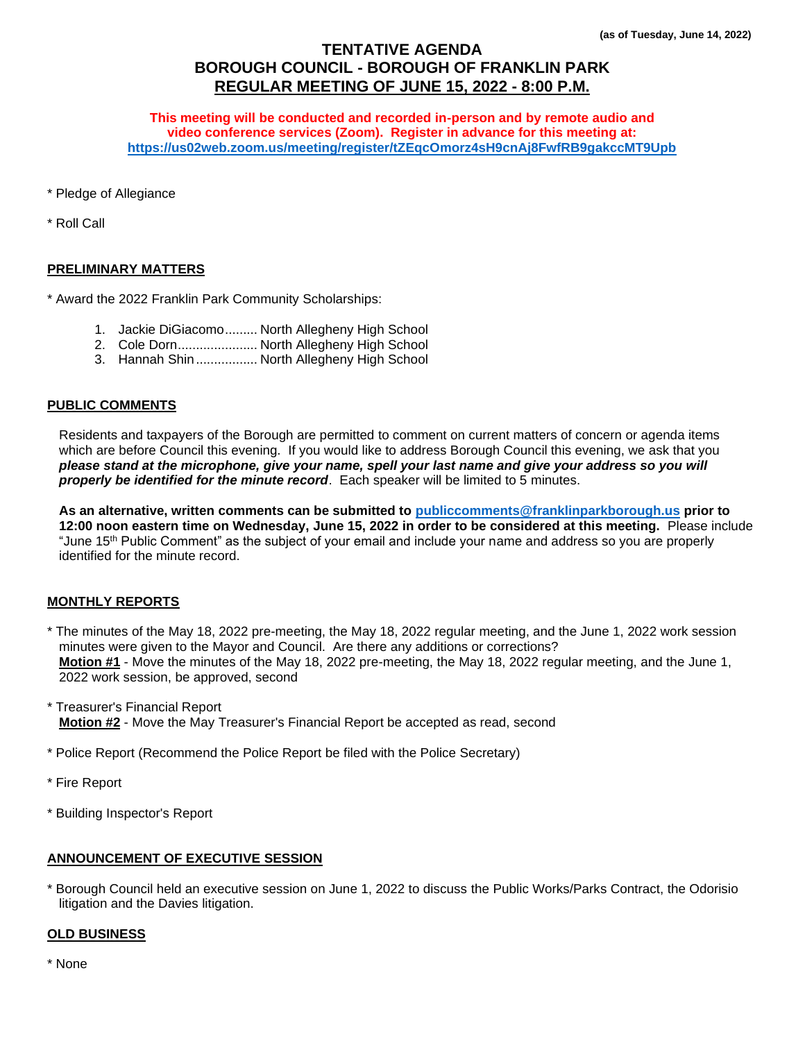# **TENTATIVE AGENDA BOROUGH COUNCIL - BOROUGH OF FRANKLIN PARK REGULAR MEETING OF JUNE 15, 2022 - 8:00 P.M.**

**This meeting will be conducted and recorded in-person and by remote audio and video conference services (Zoom). Register in advance for this meeting at: <https://us02web.zoom.us/meeting/register/tZEqcOmorz4sH9cnAj8FwfRB9gakccMT9Upb>**

\* Pledge of Allegiance

\* Roll Call

# **PRELIMINARY MATTERS**

\* Award the 2022 Franklin Park Community Scholarships:

- 1. Jackie DiGiacomo......... North Allegheny High School
- 2. Cole Dorn...................... North Allegheny High School
- 3. Hannah Shin................. North Allegheny High School

#### **PUBLIC COMMENTS**

Residents and taxpayers of the Borough are permitted to comment on current matters of concern or agenda items which are before Council this evening. If you would like to address Borough Council this evening, we ask that you *please stand at the microphone, give your name, spell your last name and give your address so you will properly be identified for the minute record*. Each speaker will be limited to 5 minutes.

**As an alternative, written comments can be submitted to [publiccomments@franklinparkborough.us](mailto:publiccomments@franklinparkborough.us) prior to 12:00 noon eastern time on Wednesday, June 15, 2022 in order to be considered at this meeting.** Please include "June 15<sup>th</sup> Public Comment" as the subject of your email and include your name and address so you are properly identified for the minute record.

#### **MONTHLY REPORTS**

\* The minutes of the May 18, 2022 pre-meeting, the May 18, 2022 regular meeting, and the June 1, 2022 work session minutes were given to the Mayor and Council. Are there any additions or corrections? **Motion #1** - Move the minutes of the May 18, 2022 pre-meeting, the May 18, 2022 regular meeting, and the June 1, 2022 work session, be approved, second

\* Treasurer's Financial Report **Motion #2** - Move the May Treasurer's Financial Report be accepted as read, second

\* Police Report (Recommend the Police Report be filed with the Police Secretary)

- \* Fire Report
- \* Building Inspector's Report

# **ANNOUNCEMENT OF EXECUTIVE SESSION**

\* Borough Council held an executive session on June 1, 2022 to discuss the Public Works/Parks Contract, the Odorisio litigation and the Davies litigation.

#### **OLD BUSINESS**

\* None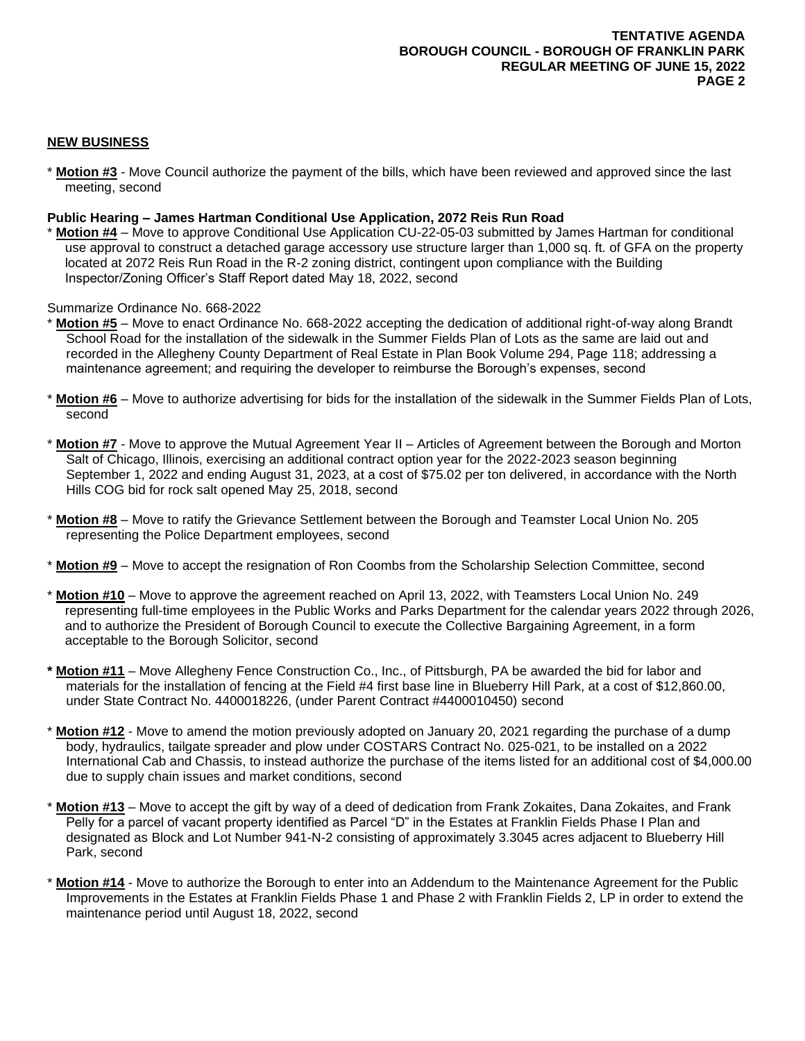# **NEW BUSINESS**

\* **Motion #3** - Move Council authorize the payment of the bills, which have been reviewed and approved since the last meeting, second

# **Public Hearing – James Hartman Conditional Use Application, 2072 Reis Run Road**

\* **Motion #4** – Move to approve Conditional Use Application CU-22-05-03 submitted by James Hartman for conditional use approval to construct a detached garage accessory use structure larger than 1,000 sq. ft. of GFA on the property located at 2072 Reis Run Road in the R-2 zoning district, contingent upon compliance with the Building Inspector/Zoning Officer's Staff Report dated May 18, 2022, second

Summarize Ordinance No. 668-2022

- \* **Motion #5** Move to enact Ordinance No. 668-2022 accepting the dedication of additional right-of-way along Brandt School Road for the installation of the sidewalk in the Summer Fields Plan of Lots as the same are laid out and recorded in the Allegheny County Department of Real Estate in Plan Book Volume 294, Page 118; addressing a maintenance agreement; and requiring the developer to reimburse the Borough's expenses, second
- **Motion #6** Move to authorize advertising for bids for the installation of the sidewalk in the Summer Fields Plan of Lots, second
- \* **Motion #7** Move to approve the Mutual Agreement Year II Articles of Agreement between the Borough and Morton Salt of Chicago, Illinois, exercising an additional contract option year for the 2022-2023 season beginning September 1, 2022 and ending August 31, 2023, at a cost of \$75.02 per ton delivered, in accordance with the North Hills COG bid for rock salt opened May 25, 2018, second
- \* **Motion #8** Move to ratify the Grievance Settlement between the Borough and Teamster Local Union No. 205 representing the Police Department employees, second
- \* **Motion #9** Move to accept the resignation of Ron Coombs from the Scholarship Selection Committee, second
- **Motion #10** Move to approve the agreement reached on April 13, 2022, with Teamsters Local Union No. 249 representing full-time employees in the Public Works and Parks Department for the calendar years 2022 through 2026, and to authorize the President of Borough Council to execute the Collective Bargaining Agreement, in a form acceptable to the Borough Solicitor, second
- **\* Motion #11** Move Allegheny Fence Construction Co., Inc., of Pittsburgh, PA be awarded the bid for labor and materials for the installation of fencing at the Field #4 first base line in Blueberry Hill Park, at a cost of \$12,860.00, under State Contract No. 4400018226, (under Parent Contract #4400010450) second
- **Motion #12** Move to amend the motion previously adopted on January 20, 2021 regarding the purchase of a dump body, hydraulics, tailgate spreader and plow under COSTARS Contract No. 025-021, to be installed on a 2022 International Cab and Chassis, to instead authorize the purchase of the items listed for an additional cost of \$4,000.00 due to supply chain issues and market conditions, second
- **Motion #13** Move to accept the gift by way of a deed of dedication from Frank Zokaites, Dana Zokaites, and Frank Pelly for a parcel of vacant property identified as Parcel "D" in the Estates at Franklin Fields Phase I Plan and designated as Block and Lot Number 941-N-2 consisting of approximately 3.3045 acres adjacent to Blueberry Hill Park, second
- Motion #14 Move to authorize the Borough to enter into an Addendum to the Maintenance Agreement for the Public Improvements in the Estates at Franklin Fields Phase 1 and Phase 2 with Franklin Fields 2, LP in order to extend the maintenance period until August 18, 2022, second